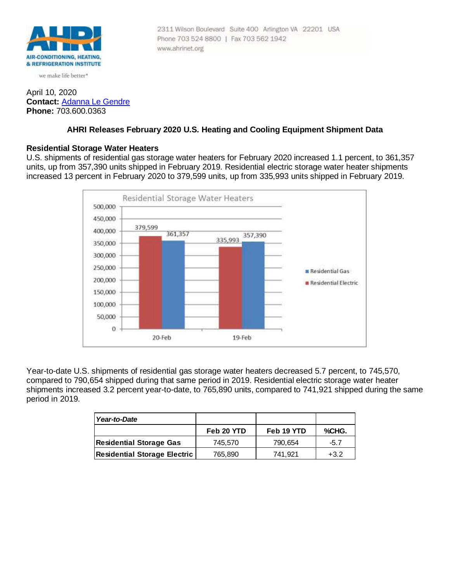

we make life better\*

## April 10, 2020 **Contact:** [Adanna Le Gendre](mailto:AleGendre@ahrinet.org) **Phone:** 703.600.0363

#### 2311 Wilson Boulevard Suite 400 Arlington VA 22201 USA Phone 703 524 8800 | Fax 703 562 1942 www.ahrinet.org

# **AHRI Releases February 2020 U.S. Heating and Cooling Equipment Shipment Data**

## **Residential Storage Water Heaters**

U.S. shipments of residential gas storage water heaters for February 2020 increased 1.1 percent, to 361,357 units, up from 357,390 units shipped in February 2019. Residential electric storage water heater shipments increased 13 percent in February 2020 to 379,599 units, up from 335,993 units shipped in February 2019.



Year-to-date U.S. shipments of residential gas storage water heaters decreased 5.7 percent, to 745,570, compared to 790,654 shipped during that same period in 2019. Residential electric storage water heater shipments increased 3.2 percent year-to-date, to 765,890 units, compared to 741,921 shipped during the same period in 2019.

| Year-to-Date                        |            |            |        |
|-------------------------------------|------------|------------|--------|
|                                     | Feb 20 YTD | Feb 19 YTD | %CHG.  |
| Residential Storage Gas             | 745.570    | 790.654    | $-5.7$ |
| <b>Residential Storage Electric</b> | 765,890    | 741.921    | $+3.2$ |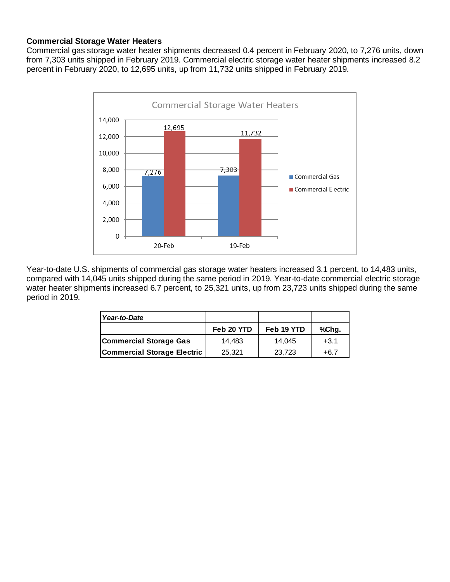# **Commercial Storage Water Heaters**

Commercial gas storage water heater shipments decreased 0.4 percent in February 2020, to 7,276 units, down from 7,303 units shipped in February 2019. Commercial electric storage water heater shipments increased 8.2 percent in February 2020, to 12,695 units, up from 11,732 units shipped in February 2019.



Year-to-date U.S. shipments of commercial gas storage water heaters increased 3.1 percent, to 14,483 units, compared with 14,045 units shipped during the same period in 2019. Year-to-date commercial electric storage water heater shipments increased 6.7 percent, to 25,321 units, up from 23,723 units shipped during the same period in 2019.

| Year-to-Date                       |            |            |        |
|------------------------------------|------------|------------|--------|
|                                    | Feb 20 YTD | Feb 19 YTD | %Chg.  |
| Commercial Storage Gas             | 14.483     | 14.045     | $+3.1$ |
| <b>Commercial Storage Electric</b> | 25,321     | 23,723     | $+6.7$ |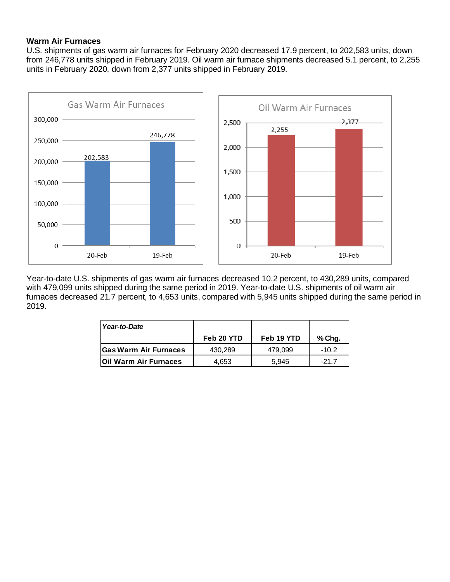# **Warm Air Furnaces**

U.S. shipments of gas warm air furnaces for February 2020 decreased 17.9 percent, to 202,583 units, down from 246,778 units shipped in February 2019. Oil warm air furnace shipments decreased 5.1 percent, to 2,255 units in February 2020, down from 2,377 units shipped in February 2019.



Year-to-date U.S. shipments of gas warm air furnaces decreased 10.2 percent, to 430,289 units, compared with 479,099 units shipped during the same period in 2019. Year-to-date U.S. shipments of oil warm air furnaces decreased 21.7 percent, to 4,653 units, compared with 5,945 units shipped during the same period in 2019.

| Year-to-Date                 |            |            |         |
|------------------------------|------------|------------|---------|
|                              | Feb 20 YTD | Feb 19 YTD | % Chg.  |
| <b>Gas Warm Air Furnaces</b> | 430.289    | 479.099    | $-10.2$ |
| <b>Oil Warm Air Furnaces</b> | 4,653      | 5.945      | -21.7   |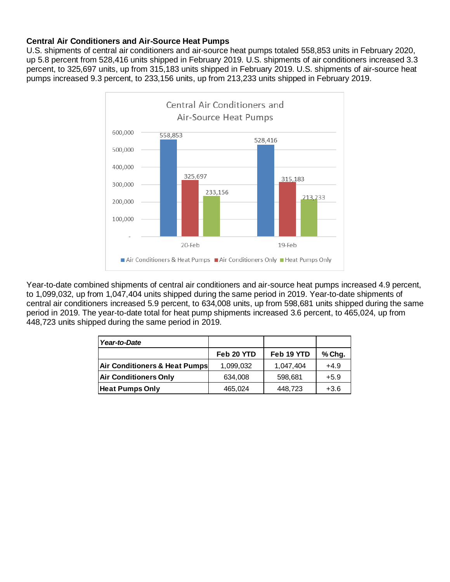# **Central Air Conditioners and Air-Source Heat Pumps**

U.S. shipments of central air conditioners and air-source heat pumps totaled 558,853 units in February 2020, up 5.8 percent from 528,416 units shipped in February 2019. U.S. shipments of air conditioners increased 3.3 percent, to 325,697 units, up from 315,183 units shipped in February 2019. U.S. shipments of air-source heat pumps increased 9.3 percent, to 233,156 units, up from 213,233 units shipped in February 2019.



Year-to-date combined shipments of central air conditioners and air-source heat pumps increased 4.9 percent, to 1,099,032, up from 1,047,404 units shipped during the same period in 2019. Year-to-date shipments of central air conditioners increased 5.9 percent, to 634,008 units, up from 598,681 units shipped during the same period in 2019. The year-to-date total for heat pump shipments increased 3.6 percent, to 465,024, up from 448,723 units shipped during the same period in 2019.

| Year-to-Date                  |            |            |        |
|-------------------------------|------------|------------|--------|
|                               | Feb 20 YTD | Feb 19 YTD | % Chg. |
| Air Conditioners & Heat Pumps | 1,099,032  | 1,047,404  | $+4.9$ |
| <b>Air Conditioners Only</b>  | 634,008    | 598,681    | $+5.9$ |
| <b>Heat Pumps Only</b>        | 465,024    | 448.723    | $+3.6$ |